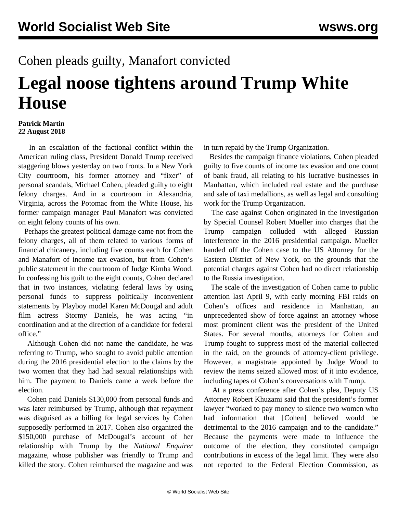## Cohen pleads guilty, Manafort convicted **Legal noose tightens around Trump White House**

## **Patrick Martin 22 August 2018**

 In an escalation of the factional conflict within the American ruling class, President Donald Trump received staggering blows yesterday on two fronts. In a New York City courtroom, his former attorney and "fixer" of personal scandals, Michael Cohen, pleaded guilty to eight felony charges. And in a courtroom in Alexandria, Virginia, across the Potomac from the White House, his former campaign manager Paul Manafort was convicted on eight felony counts of his own.

 Perhaps the greatest political damage came not from the felony charges, all of them related to various forms of financial chicanery, including five counts each for Cohen and Manafort of income tax evasion, but from Cohen's public statement in the courtroom of Judge Kimba Wood. In confessing his guilt to the eight counts, Cohen declared that in two instances, violating federal laws by using personal funds to suppress politically inconvenient statements by Playboy model Karen McDougal and adult film actress Stormy Daniels, he was acting "in coordination and at the direction of a candidate for federal office."

 Although Cohen did not name the candidate, he was referring to Trump, who sought to avoid public attention during the 2016 presidential election to the claims by the two women that they had had sexual relationships with him. The payment to Daniels came a week before the election.

 Cohen paid Daniels \$130,000 from personal funds and was later reimbursed by Trump, although that repayment was disguised as a billing for legal services by Cohen supposedly performed in 2017. Cohen also organized the \$150,000 purchase of McDougal's account of her relationship with Trump by the *National Enquirer* magazine, whose publisher was friendly to Trump and killed the story. Cohen reimbursed the magazine and was

in turn repaid by the Trump Organization.

 Besides the campaign finance violations, Cohen pleaded guilty to five counts of income tax evasion and one count of bank fraud, all relating to his lucrative businesses in Manhattan, which included real estate and the purchase and sale of taxi medallions, as well as legal and consulting work for the Trump Organization.

 The case against Cohen originated in the investigation by Special Counsel Robert Mueller into charges that the Trump campaign colluded with alleged Russian interference in the 2016 presidential campaign. Mueller handed off the Cohen case to the US Attorney for the Eastern District of New York, on the grounds that the potential charges against Cohen had no direct relationship to the Russia investigation.

 The scale of the investigation of Cohen came to public attention last April 9, with early morning FBI raids on Cohen's offices and residence in Manhattan, an unprecedented show of force against an attorney whose most prominent client was the president of the United States. For several months, attorneys for Cohen and Trump fought to suppress most of the material collected in the raid, on the grounds of attorney-client privilege. However, a magistrate appointed by Judge Wood to review the items seized allowed most of it into evidence, including tapes of Cohen's conversations with Trump.

 At a press conference after Cohen's plea, Deputy US Attorney Robert Khuzami said that the president's former lawyer "worked to pay money to silence two women who had information that [Cohen] believed would be detrimental to the 2016 campaign and to the candidate." Because the payments were made to influence the outcome of the election, they constituted campaign contributions in excess of the legal limit. They were also not reported to the Federal Election Commission, as